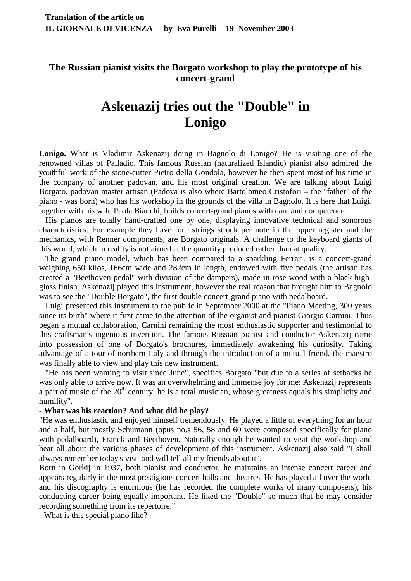## **The Russian pianist visits the Borgato workshop to play the prototype of his concert-grand**

## **Askenazij tries out the "Double" in Lonigo**

**Lonigo.** What is Vladimir Askenazij doing in Bagnolo di Lonigo? He is visiting one of the renowned villas of Palladio. This famous Russian (naturalized Islandic) pianist also admired the youthful work of the stone-cutter Pietro della Gondola, however he then spent most of his time in the company of another padovan, and his most original creation. We are talking about Luigi Borgato, padovan master artisan (Padova is also where Bartolomeo Cristofori – the "father" of the piano - was born) who has his workshop in the grounds of the villa in Bagnolo. It is here that Luigi, together with his wife Paola Bianchi, builds concert-grand pianos with care and competence.

 His pianos are totally hand-crafted one by one, displaying innovative technical and sonorous characteristics. For example they have four strings struck per note in the upper register and the mechanics, with Renner components, are Borgato originals. A challenge to the keyboard giants of this world, which in reality is not aimed at the quantity produced rather than at quality.

 The grand piano model, which has been compared to a sparkling Ferrari, is a concert-grand weighing 650 kilos, 166cm wide and 282cm in length, endowed with five pedals (the artisan has created a "Beethoven pedal" with division of the dampers), made in rose-wood with a black highgloss finish. Askenazij played this instrument, however the real reason that brought him to Bagnolo was to see the "Double Borgato", the first double concert-grand piano with pedalboard.

 Luigi presented this instrument to the public in September 2000 at the "Piano Meeting, 300 years since its birth" where it first came to the attention of the organist and pianist Giorgio Carnini. Thus began a mutual collaboration, Carnini remaining the most enthusiastic supporter and testimonial to this craftsman's ingenious invention. The famous Russian pianist and conductor Askenazij came into possession of one of Borgato's brochures, immediately awakening his curiosity. Taking advantage of a tour of northern Italy and through the introduction of a mutual friend, the maestro was finally able to view and play this new instrument.

 "He has been wanting to visit since June", specifies Borgato "but due to a series of setbacks he was only able to arrive now. It was an overwhelming and immense joy for me: Askenazij represents a part of music of the  $20<sup>th</sup>$  century, he is a total musician, whose greatness equals his simplicity and humility".

## **- What was his reaction? And what did he play?**

"He was enthusiastic and enjoyed himself tremendously. He played a little of everything for an hour and a half, but mostly Schumann (opus no.s 56, 58 and 60 were composed specifically for piano with pedalboard), Franck and Beethoven. Naturally enough he wanted to visit the workshop and hear all about the various phases of development of this instrument. Askenazij also said "I shall always remember today's visit and will tell all my friends about it".

Born in Gorkij in 1937, both pianist and conductor, he maintains an intense concert career and appears regularly in the most prestigious concert halls and theatres. He has played all over the world and his discography is enormous (he has recorded the complete works of many composers), his conducting career being equally important. He liked the "Double" so much that he may consider recording something from its repertoire."

- What is this special piano like?